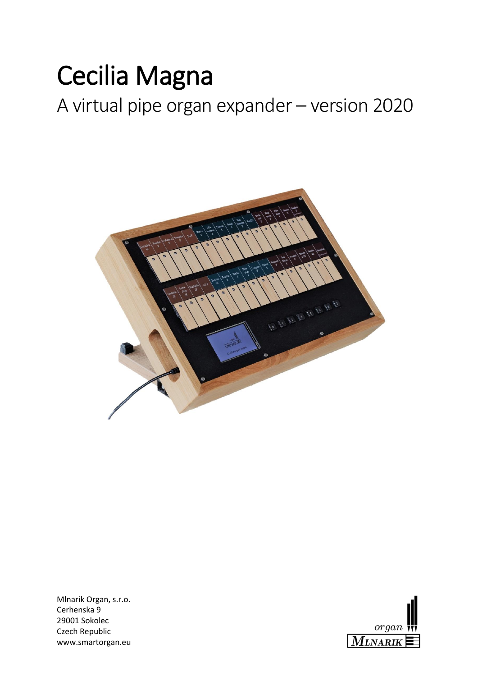# Cecilia Magna

A virtual pipe organ expander – version 2020



Mlnarik Organ, s.r.o. Cerhenska 9 29001 Sokolec Czech Republic www.smartorgan.eu

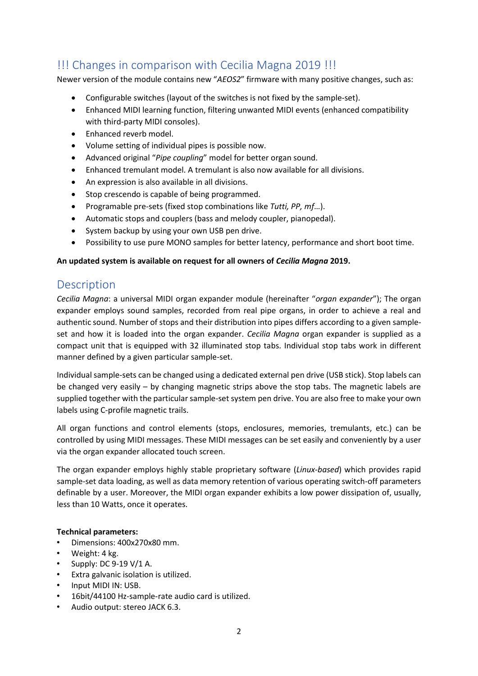# !!! Changes in comparison with Cecilia Magna 2019 !!!

Newer version of the module contains new "*AEOS2*" firmware with many positive changes, such as:

- Configurable switches (layout of the switches is not fixed by the sample-set).
- Enhanced MIDI learning function, filtering unwanted MIDI events (enhanced compatibility with third-party MIDI consoles).
- Enhanced reverb model.
- Volume setting of individual pipes is possible now.
- Advanced original "*Pipe coupling*" model for better organ sound.
- Enhanced tremulant model. A tremulant is also now available for all divisions.
- An expression is also available in all divisions.
- Stop crescendo is capable of being programmed.
- Programable pre-sets (fixed stop combinations like *Tutti, PP, mf*…).
- Automatic stops and couplers (bass and melody coupler, pianopedal).
- System backup by using your own USB pen drive.
- Possibility to use pure MONO samples for better latency, performance and short boot time.

#### **An updated system is available on request for all owners of** *Cecilia Magna* **2019.**

## **Description**

*Cecilia Magna*: a universal MIDI organ expander module (hereinafter "*organ expander*"); The organ expander employs sound samples, recorded from real pipe organs, in order to achieve a real and authentic sound. Number of stops and their distribution into pipes differs according to a given sampleset and how it is loaded into the organ expander. *Cecilia Magna* organ expander is supplied as a compact unit that is equipped with 32 illuminated stop tabs. Individual stop tabs work in different manner defined by a given particular sample-set.

Individual sample-sets can be changed using a dedicated external pen drive (USB stick). Stop labels can be changed very easily – by changing magnetic strips above the stop tabs. The magnetic labels are supplied together with the particular sample-set system pen drive. You are also free to make your own labels using C-profile magnetic trails.

All organ functions and control elements (stops, enclosures, memories, tremulants, etc.) can be controlled by using MIDI messages. These MIDI messages can be set easily and conveniently by a user via the organ expander allocated touch screen.

The organ expander employs highly stable proprietary software (*Linux-based*) which provides rapid sample-set data loading, as well as data memory retention of various operating switch-off parameters definable by a user. Moreover, the MIDI organ expander exhibits a low power dissipation of, usually, less than 10 Watts, once it operates.

#### **Technical parameters:**

- Dimensions: 400x270x80 mm.
- Weight: 4 kg.
- Supply: DC 9-19  $V/1$  A.
- Extra galvanic isolation is utilized.
- Input MIDI IN: USB.
- 16bit/44100 Hz-sample-rate audio card is utilized.
- Audio output: stereo JACK 6.3.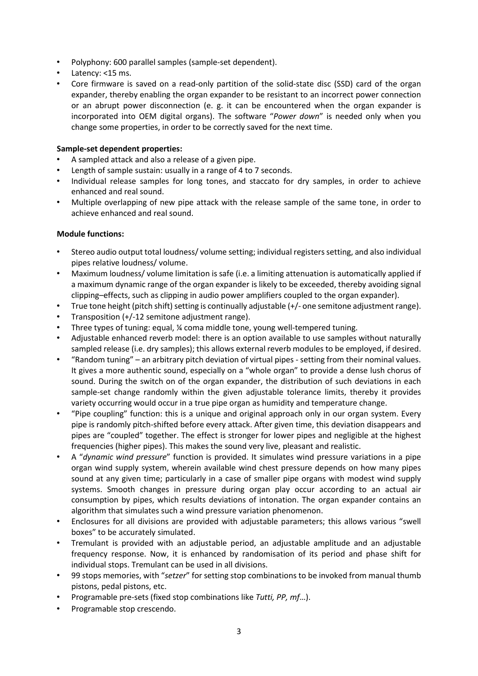- Polyphony: 600 parallel samples (sample-set dependent).
- Latency: <15 ms.
- Core firmware is saved on a read-only partition of the solid-state disc (SSD) card of the organ expander, thereby enabling the organ expander to be resistant to an incorrect power connection or an abrupt power disconnection (e. g. it can be encountered when the organ expander is incorporated into OEM digital organs). The software "*Power down*" is needed only when you change some properties, in order to be correctly saved for the next time.

#### **Sample-set dependent properties:**

- A sampled attack and also a release of a given pipe.
- Length of sample sustain: usually in a range of 4 to 7 seconds.
- Individual release samples for long tones, and staccato for dry samples, in order to achieve enhanced and real sound.
- Multiple overlapping of new pipe attack with the release sample of the same tone, in order to achieve enhanced and real sound.

#### **Module functions:**

- Stereo audio output total loudness/ volume setting; individual registers setting, and also individual pipes relative loudness/ volume.
- Maximum loudness/ volume limitation is safe (i.e. a limiting attenuation is automatically applied if a maximum dynamic range of the organ expander is likely to be exceeded, thereby avoiding signal clipping–effects, such as clipping in audio power amplifiers coupled to the organ expander).
- True tone height (pitch shift) setting is continually adjustable (+/- one semitone adjustment range).
- Transposition (+/-12 semitone adjustment range).
- Three types of tuning: equal, ¼ coma middle tone, young well-tempered tuning.
- Adjustable enhanced reverb model: there is an option available to use samples without naturally sampled release (i.e. dry samples); this allows external reverb modules to be employed, if desired.
- "Random tuning" an arbitrary pitch deviation of virtual pipes setting from their nominal values. It gives a more authentic sound, especially on a "whole organ" to provide a dense lush chorus of sound. During the switch on of the organ expander, the distribution of such deviations in each sample-set change randomly within the given adjustable tolerance limits, thereby it provides variety occurring would occur in a true pipe organ as humidity and temperature change.
- "Pipe coupling" function: this is a unique and original approach only in our organ system. Every pipe is randomly pitch-shifted before every attack. After given time, this deviation disappears and pipes are "coupled" together. The effect is stronger for lower pipes and negligible at the highest frequencies (higher pipes). This makes the sound very live, pleasant and realistic.
- A "*dynamic wind pressure*" function is provided. It simulates wind pressure variations in a pipe organ wind supply system, wherein available wind chest pressure depends on how many pipes sound at any given time; particularly in a case of smaller pipe organs with modest wind supply systems. Smooth changes in pressure during organ play occur according to an actual air consumption by pipes, which results deviations of intonation. The organ expander contains an algorithm that simulates such a wind pressure variation phenomenon.
- Enclosures for all divisions are provided with adjustable parameters; this allows various "swell boxes" to be accurately simulated.
- Tremulant is provided with an adjustable period, an adjustable amplitude and an adjustable frequency response. Now, it is enhanced by randomisation of its period and phase shift for individual stops. Tremulant can be used in all divisions.
- 99 stops memories, with "*setzer*" for setting stop combinations to be invoked from manual thumb pistons, pedal pistons, etc.
- Programable pre-sets (fixed stop combinations like *Tutti, PP, mf*…).
- Programable stop crescendo.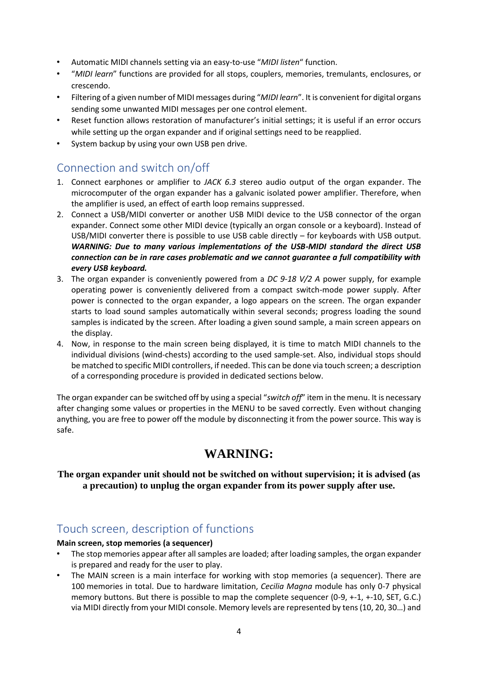- Automatic MIDI channels setting via an easy-to-use "*MIDI listen*" function.
- "*MIDI learn*" functions are provided for all stops, couplers, memories, tremulants, enclosures, or crescendo.
- Filtering of a given number of MIDI messages during "*MIDI learn*". It is convenient for digital organs sending some unwanted MIDI messages per one control element.
- Reset function allows restoration of manufacturer's initial settings; it is useful if an error occurs while setting up the organ expander and if original settings need to be reapplied.
- System backup by using your own USB pen drive.

## Connection and switch on/off

- 1. Connect earphones or amplifier to *JACK 6.3* stereo audio output of the organ expander. The microcomputer of the organ expander has a galvanic isolated power amplifier. Therefore, when the amplifier is used, an effect of earth loop remains suppressed.
- 2. Connect a USB/MIDI converter or another USB MIDI device to the USB connector of the organ expander. Connect some other MIDI device (typically an organ console or a keyboard). Instead of USB/MIDI converter there is possible to use USB cable directly – for keyboards with USB output. *WARNING: Due to many various implementations of the USB-MIDI standard the direct USB connection can be in rare cases problematic and we cannot guarantee a full compatibility with every USB keyboard.*
- 3. The organ expander is conveniently powered from a *DC 9-18 V/2 A* power supply, for example operating power is conveniently delivered from a compact switch-mode power supply. After power is connected to the organ expander, a logo appears on the screen. The organ expander starts to load sound samples automatically within several seconds; progress loading the sound samples is indicated by the screen. After loading a given sound sample, a main screen appears on the display.
- 4. Now, in response to the main screen being displayed, it is time to match MIDI channels to the individual divisions (wind-chests) according to the used sample-set. Also, individual stops should be matched to specific MIDI controllers, if needed. This can be done via touch screen; a description of a corresponding procedure is provided in dedicated sections below.

The organ expander can be switched off by using a special "*switch off*" item in the menu. It is necessary after changing some values or properties in the MENU to be saved correctly. Even without changing anything, you are free to power off the module by disconnecting it from the power source. This way is safe.

## **WARNING:**

#### **The organ expander unit should not be switched on without supervision; it is advised (as a precaution) to unplug the organ expander from its power supply after use.**

## Touch screen, description of functions

#### **Main screen, stop memories (a sequencer)**

- The stop memories appear after all samples are loaded; after loading samples, the organ expander is prepared and ready for the user to play.
- The MAIN screen is a main interface for working with stop memories (a sequencer). There are 100 memories in total. Due to hardware limitation, *Cecilia Magna* module has only 0-7 physical memory buttons. But there is possible to map the complete sequencer (0-9, +-1, +-10, SET, G.C.) via MIDI directly from your MIDI console. Memory levels are represented by tens (10, 20, 30…) and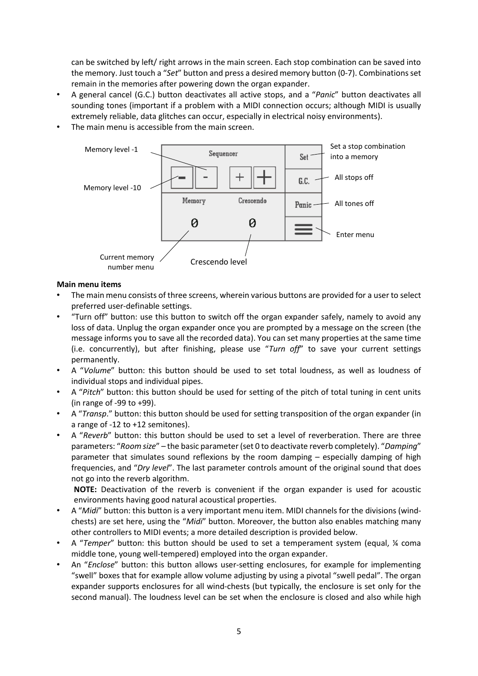can be switched by left/ right arrows in the main screen. Each stop combination can be saved into the memory. Just touch a "*Set*" button and press a desired memory button (0-7). Combinations set remain in the memories after powering down the organ expander.

- A general cancel (G.C.) button deactivates all active stops, and a "*Panic*" button deactivates all sounding tones (important if a problem with a MIDI connection occurs; although MIDI is usually extremely reliable, data glitches can occur, especially in electrical noisy environments).
- The main menu is accessible from the main screen.



#### **Main menu items**

- The main menu consists of three screens, wherein various buttons are provided for a user to select preferred user-definable settings.
- "Turn off" button: use this button to switch off the organ expander safely, namely to avoid any loss of data. Unplug the organ expander once you are prompted by a message on the screen (the message informs you to save all the recorded data). You can set many properties at the same time (i.e. concurrently), but after finishing, please use "*Turn off*" to save your current settings permanently.
- A "*Volume*" button: this button should be used to set total loudness, as well as loudness of individual stops and individual pipes.
- A "*Pitch*" button: this button should be used for setting of the pitch of total tuning in cent units (in range of -99 to +99).
- A "*Transp*." button: this button should be used for setting transposition of the organ expander (in a range of -12 to +12 semitones).
- A "*Reverb*" button: this button should be used to set a level of reverberation. There are three parameters: "*Room size*" – the basic parameter (set 0 to deactivate reverb completely). "*Damping*" parameter that simulates sound reflexions by the room damping – especially damping of high frequencies, and "*Dry level*". The last parameter controls amount of the original sound that does not go into the reverb algorithm.

**NOTE:** Deactivation of the reverb is convenient if the organ expander is used for acoustic environments having good natural acoustical properties.

- A "*Midi*" button: this button is a very important menu item. MIDI channels for the divisions (windchests) are set here, using the "*Midi*" button. Moreover, the button also enables matching many other controllers to MIDI events; a more detailed description is provided below.
- A "*Temper*" button: this button should be used to set a temperament system (equal, ¼ coma middle tone, young well-tempered) employed into the organ expander.
- An "*Enclose*" button: this button allows user-setting enclosures, for example for implementing "swell" boxes that for example allow volume adjusting by using a pivotal "swell pedal". The organ expander supports enclosures for all wind-chests (but typically, the enclosure is set only for the second manual). The loudness level can be set when the enclosure is closed and also while high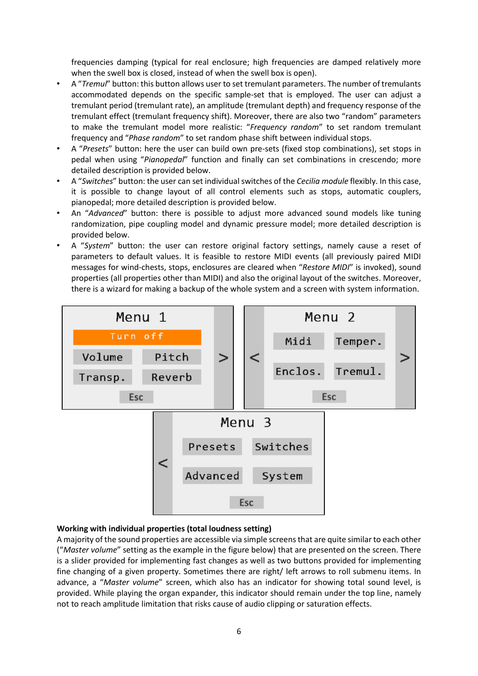frequencies damping (typical for real enclosure; high frequencies are damped relatively more when the swell box is closed, instead of when the swell box is open).

- A "*Tremul*" button: this button allows user to set tremulant parameters. The number of tremulants accommodated depends on the specific sample-set that is employed. The user can adjust a tremulant period (tremulant rate), an amplitude (tremulant depth) and frequency response of the tremulant effect (tremulant frequency shift). Moreover, there are also two "random" parameters to make the tremulant model more realistic: "*Frequency random*" to set random tremulant frequency and "*Phase random*" to set random phase shift between individual stops.
- A "*Presets*" button: here the user can build own pre-sets (fixed stop combinations), set stops in pedal when using "*Pianopedal*" function and finally can set combinations in crescendo; more detailed description is provided below.
- A "*Switches*" button: the user can set individual switches of the *Cecilia module* flexibly. In this case, it is possible to change layout of all control elements such as stops, automatic couplers, pianopedal; more detailed description is provided below.
- An "*Advanced*" button: there is possible to adjust more advanced sound models like tuning randomization, pipe coupling model and dynamic pressure model; more detailed description is provided below.
- A "*System*" button: the user can restore original factory settings, namely cause a reset of parameters to default values. It is feasible to restore MIDI events (all previously paired MIDI messages for wind-chests, stops, enclosures are cleared when "*Restore MIDI*" is invoked), sound properties (all properties other than MIDI) and also the original layout of the switches. Moreover, there is a wizard for making a backup of the whole system and a screen with system information.



#### **Working with individual properties (total loudness setting)**

A majority of the sound properties are accessible via simple screens that are quite similar to each other ("*Master volume*" setting as the example in the figure below) that are presented on the screen. There is a slider provided for implementing fast changes as well as two buttons provided for implementing fine changing of a given property. Sometimes there are right/ left arrows to roll submenu items. In advance, a "*Master volume*" screen, which also has an indicator for showing total sound level, is provided. While playing the organ expander, this indicator should remain under the top line, namely not to reach amplitude limitation that risks cause of audio clipping or saturation effects.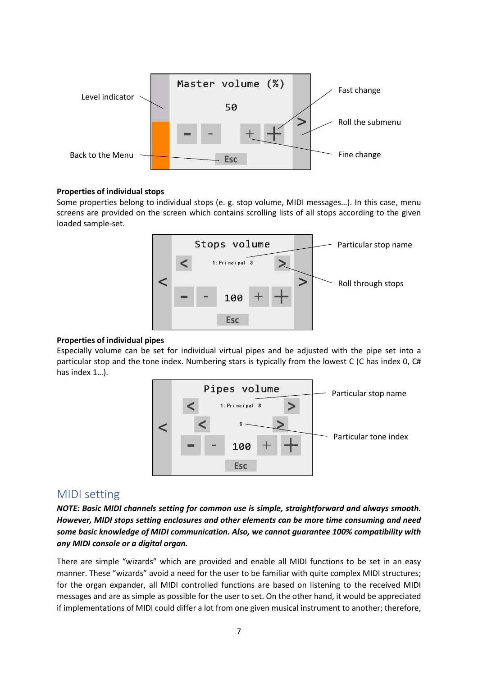

#### **Properties of individual stops**

Some properties belong to individual stops (e. g. stop volume, MIDI messages…). In this case, menu screens are provided on the screen which contains scrolling lists of all stops according to the given loaded sample-set.



#### **Properties of individual pipes**

Especially volume can be set for individual virtual pipes and be adjusted with the pipe set into a particular stop and the tone index. Numbering stars is typically from the lowest C (C has index 0, C# has index 1…).



### MIDI setting

*NOTE: Basic MIDI channels setting for common use is simple, straightforward and always smooth. However, MIDI stops setting enclosures and other elements can be more time consuming and need some basic knowledge of MIDI communication. Also, we cannot guarantee 100% compatibility with any MIDI console or a digital organ.*

There are simple "wizards" which are provided and enable all MIDI functions to be set in an easy manner. These "wizards" avoid a need for the user to be familiar with quite complex MIDI structures; for the organ expander, all MIDI controlled functions are based on listening to the received MIDI messages and are as simple as possible for the user to set. On the other hand, it would be appreciated if implementations of MIDI could differ a lot from one given musical instrument to another; therefore,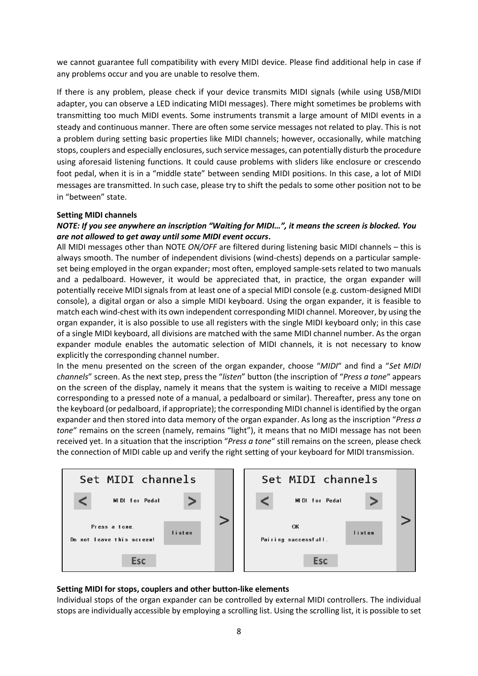we cannot guarantee full compatibility with every MIDI device. Please find additional help in case if any problems occur and you are unable to resolve them.

If there is any problem, please check if your device transmits MIDI signals (while using USB/MIDI adapter, you can observe a LED indicating MIDI messages). There might sometimes be problems with transmitting too much MIDI events. Some instruments transmit a large amount of MIDI events in a steady and continuous manner. There are often some service messages not related to play. This is not a problem during setting basic properties like MIDI channels; however, occasionally, while matching stops, couplers and especially enclosures, such service messages, can potentially disturb the procedure using aforesaid listening functions. It could cause problems with sliders like enclosure or crescendo foot pedal, when it is in a "middle state" between sending MIDI positions. In this case, a lot of MIDI messages are transmitted. In such case, please try to shift the pedals to some other position not to be in "between" state.

#### **Setting MIDI channels**

#### *NOTE: If you see anywhere an inscription "Waiting for MIDI…", it means the screen is blocked. You are not allowed to get away until some MIDI event occurs***.**

All MIDI messages other than NOTE *ON/OFF* are filtered during listening basic MIDI channels – this is always smooth. The number of independent divisions (wind-chests) depends on a particular sampleset being employed in the organ expander; most often, employed sample-sets related to two manuals and a pedalboard. However, it would be appreciated that, in practice, the organ expander will potentially receive MIDI signals from at least one of a special MIDI console (e.g. custom-designed MIDI console), a digital organ or also a simple MIDI keyboard. Using the organ expander, it is feasible to match each wind-chest with its own independent corresponding MIDI channel. Moreover, by using the organ expander, it is also possible to use all registers with the single MIDI keyboard only; in this case of a single MIDI keyboard, all divisions are matched with the same MIDI channel number. As the organ expander module enables the automatic selection of MIDI channels, it is not necessary to know explicitly the corresponding channel number.

In the menu presented on the screen of the organ expander, choose "*MIDI*" and find a "*Set MIDI channels*" screen. As the next step, press the "*listen*" button (the inscription of "*Press a tone*" appears on the screen of the display, namely it means that the system is waiting to receive a MIDI message corresponding to a pressed note of a manual, a pedalboard or similar). Thereafter, press any tone on the keyboard (or pedalboard, if appropriate); the corresponding MIDI channel is identified by the organ expander and then stored into data memory of the organ expander. As long as the inscription "*Press a tone*" remains on the screen (namely, remains "light"), it means that no MIDI message has not been received yet. In a situation that the inscription "*Press a tone*" still remains on the screen, please check the connection of MIDI cable up and verify the right setting of your keyboard for MIDI transmission.

| Set MIDI channels                                    | Set MIDI channels                    |  |
|------------------------------------------------------|--------------------------------------|--|
| MIDI for Pedal                                       | MIDI for Pedal                       |  |
| Press a tone.<br>listen<br>Do not leave this screen! | OK<br>listen<br>Pairing successfull. |  |
| <b>Esc</b>                                           | <b>Esc</b>                           |  |

#### **Setting MIDI for stops, couplers and other button-like elements**

Individual stops of the organ expander can be controlled by external MIDI controllers. The individual stops are individually accessible by employing a scrolling list. Using the scrolling list, it is possible to set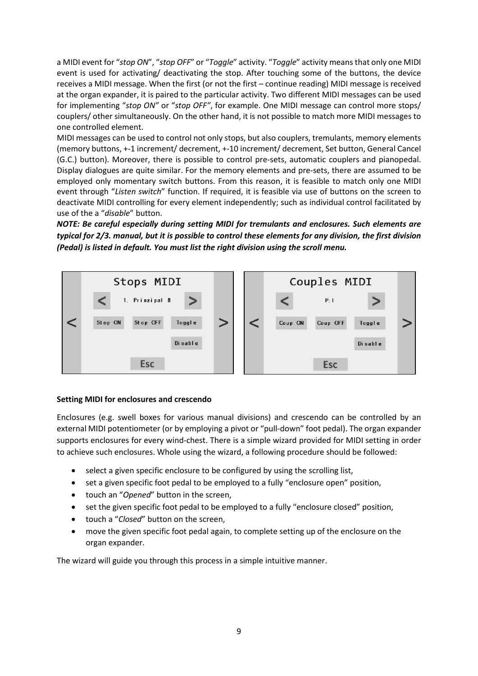a MIDI event for "*stop ON*", "*stop OFF*" or "*Toggle*" activity. "*Toggle*" activity means that only one MIDI event is used for activating/ deactivating the stop. After touching some of the buttons, the device receives a MIDI message. When the first (or not the first – continue reading) MIDI message is received at the organ expander, it is paired to the particular activity. Two different MIDI messages can be used for implementing "*stop ON"* or "*stop OFF"*, for example. One MIDI message can control more stops/ couplers/ other simultaneously. On the other hand, it is not possible to match more MIDI messages to one controlled element.

MIDI messages can be used to control not only stops, but also couplers, tremulants, memory elements (memory buttons, +-1 increment/ decrement, +-10 increment/ decrement, Set button, General Cancel (G.C.) button). Moreover, there is possible to control pre-sets, automatic couplers and pianopedal. Display dialogues are quite similar. For the memory elements and pre-sets, there are assumed to be employed only momentary switch buttons. From this reason, it is feasible to match only one MIDI event through "*Listen switch*" function. If required, it is feasible via use of buttons on the screen to deactivate MIDI controlling for every element independently; such as individual control facilitated by use of the a "*disable*" button.

*NOTE: Be careful especially during setting MIDI for tremulants and enclosures. Such elements are typical for 2/3. manual, but it is possible to control these elements for any division, the first division (Pedal) is listed in default. You must list the right division using the scroll menu.*



#### **Setting MIDI for enclosures and crescendo**

Enclosures (e.g. swell boxes for various manual divisions) and crescendo can be controlled by an external MIDI potentiometer (or by employing a pivot or "pull-down" foot pedal). The organ expander supports enclosures for every wind-chest. There is a simple wizard provided for MIDI setting in order to achieve such enclosures. Whole using the wizard, a following procedure should be followed:

- select a given specific enclosure to be configured by using the scrolling list,
- set a given specific foot pedal to be employed to a fully "enclosure open" position,
- touch an "*Opened*" button in the screen,
- set the given specific foot pedal to be employed to a fully "enclosure closed" position,
- touch a "*Closed*" button on the screen,
- move the given specific foot pedal again, to complete setting up of the enclosure on the organ expander.

The wizard will guide you through this process in a simple intuitive manner.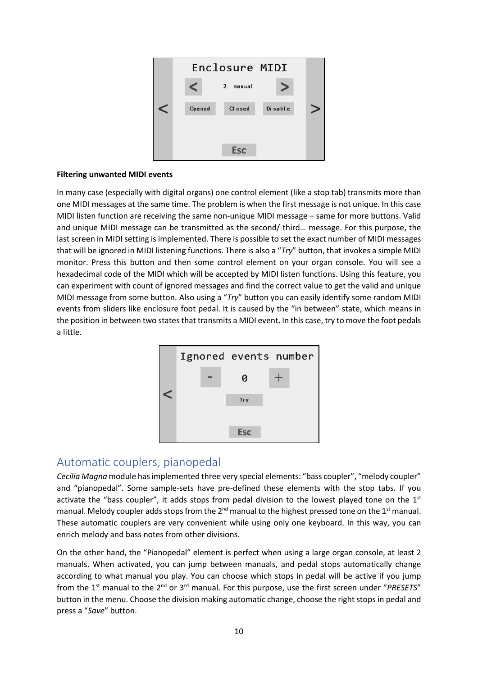

#### **Filtering unwanted MIDI events**

In many case (especially with digital organs) one control element (like a stop tab) transmits more than one MIDI messages at the same time. The problem is when the first message is not unique. In this case MIDI listen function are receiving the same non-unique MIDI message – same for more buttons. Valid and unique MIDI message can be transmitted as the second/ third… message. For this purpose, the last screen in MIDI setting is implemented. There is possible to set the exact number of MIDI messages that will be ignored in MIDI listening functions. There is also a "*Try*" button, that invokes a simple MIDI monitor. Press this button and then some control element on your organ console. You will see a hexadecimal code of the MIDI which will be accepted by MIDI listen functions. Using this feature, you can experiment with count of ignored messages and find the correct value to get the valid and unique MIDI message from some button. Also using a "*Try*" button you can easily identify some random MIDI events from sliders like enclosure foot pedal. It is caused by the "in between" state, which means in the position in between two states that transmits a MIDI event. In this case, try to move the foot pedals a little.



## Automatic couplers, pianopedal

*Cecilia Magna* module has implemented three very special elements: "bass coupler", "melody coupler" and "pianopedal". Some sample-sets have pre-defined these elements with the stop tabs. If you activate the "bass coupler", it adds stops from pedal division to the lowest played tone on the  $1<sup>st</sup>$ manual. Melody coupler adds stops from the  $2^{nd}$  manual to the highest pressed tone on the 1<sup>st</sup> manual. These automatic couplers are very convenient while using only one keyboard. In this way, you can enrich melody and bass notes from other divisions.

On the other hand, the "Pianopedal" element is perfect when using a large organ console, at least 2 manuals. When activated, you can jump between manuals, and pedal stops automatically change according to what manual you play. You can choose which stops in pedal will be active if you jump from the 1st manual to the 2nd or 3rd manual. For this purpose, use the first screen under "*PRESETS*" button in the menu. Choose the division making automatic change, choose the right stops in pedal and press a "*Save*" button.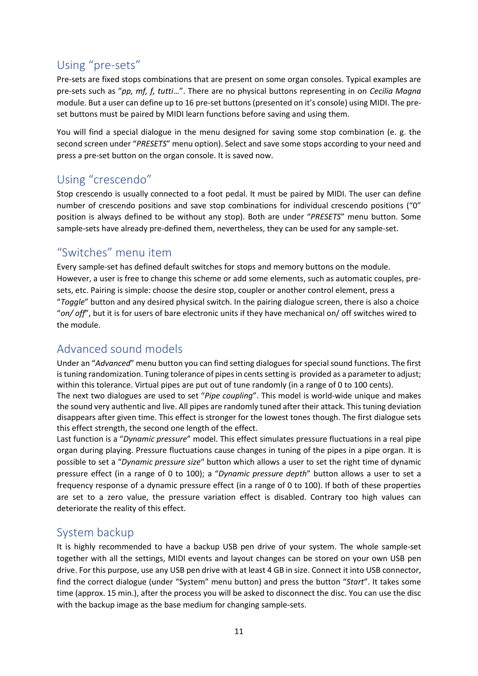# Using "pre-sets"

Pre-sets are fixed stops combinations that are present on some organ consoles. Typical examples are pre-sets such as "*pp, mf, f, tutti*…". There are no physical buttons representing in on *Cecilia Magna* module. But a user can define up to 16 pre-set buttons (presented on it's console) using MIDI. The preset buttons must be paired by MIDI learn functions before saving and using them.

You will find a special dialogue in the menu designed for saving some stop combination (e. g. the second screen under "*PRESETS*" menu option). Select and save some stops according to your need and press a pre-set button on the organ console. It is saved now.

## Using "crescendo"

Stop crescendo is usually connected to a foot pedal. It must be paired by MIDI. The user can define number of crescendo positions and save stop combinations for individual crescendo positions ("0" position is always defined to be without any stop). Both are under "*PRESETS*" menu button. Some sample-sets have already pre-defined them, nevertheless, they can be used for any sample-set.

## "Switches" menu item

Every sample-set has defined default switches for stops and memory buttons on the module. However, a user is free to change this scheme or add some elements, such as automatic couples, presets, etc. Pairing is simple: choose the desire stop, coupler or another control element, press a "*Toggle*" button and any desired physical switch. In the pairing dialogue screen, there is also a choice "*on/ off*", but it is for users of bare electronic units if they have mechanical on/ off switches wired to the module.

## Advanced sound models

Under an "*Advanced*" menu button you can find setting dialogues for special sound functions. The first is tuning randomization. Tuning tolerance of pipes in cents setting is provided as a parameter to adjust; within this tolerance. Virtual pipes are put out of tune randomly (in a range of 0 to 100 cents).

The next two dialogues are used to set "*Pipe coupling*". This model is world-wide unique and makes the sound very authentic and live. All pipes are randomly tuned after their attack. This tuning deviation disappears after given time. This effect is stronger for the lowest tones though. The first dialogue sets this effect strength, the second one length of the effect.

Last function is a "*Dynamic pressure*" model. This effect simulates pressure fluctuations in a real pipe organ during playing. Pressure fluctuations cause changes in tuning of the pipes in a pipe organ. It is possible to set a "*Dynamic pressure size*" button which allows a user to set the right time of dynamic pressure effect (in a range of 0 to 100); a "*Dynamic pressure depth*" button allows a user to set a frequency response of a dynamic pressure effect (in a range of 0 to 100). If both of these properties are set to a zero value, the pressure variation effect is disabled. Contrary too high values can deteriorate the reality of this effect.

## System backup

It is highly recommended to have a backup USB pen drive of your system. The whole sample-set together with all the settings, MIDI events and layout changes can be stored on your own USB pen drive. For this purpose, use any USB pen drive with at least 4 GB in size. Connect it into USB connector, find the correct dialogue (under "System" menu button) and press the button "*Start*". It takes some time (approx. 15 min.), after the process you will be asked to disconnect the disc. You can use the disc with the backup image as the base medium for changing sample-sets.